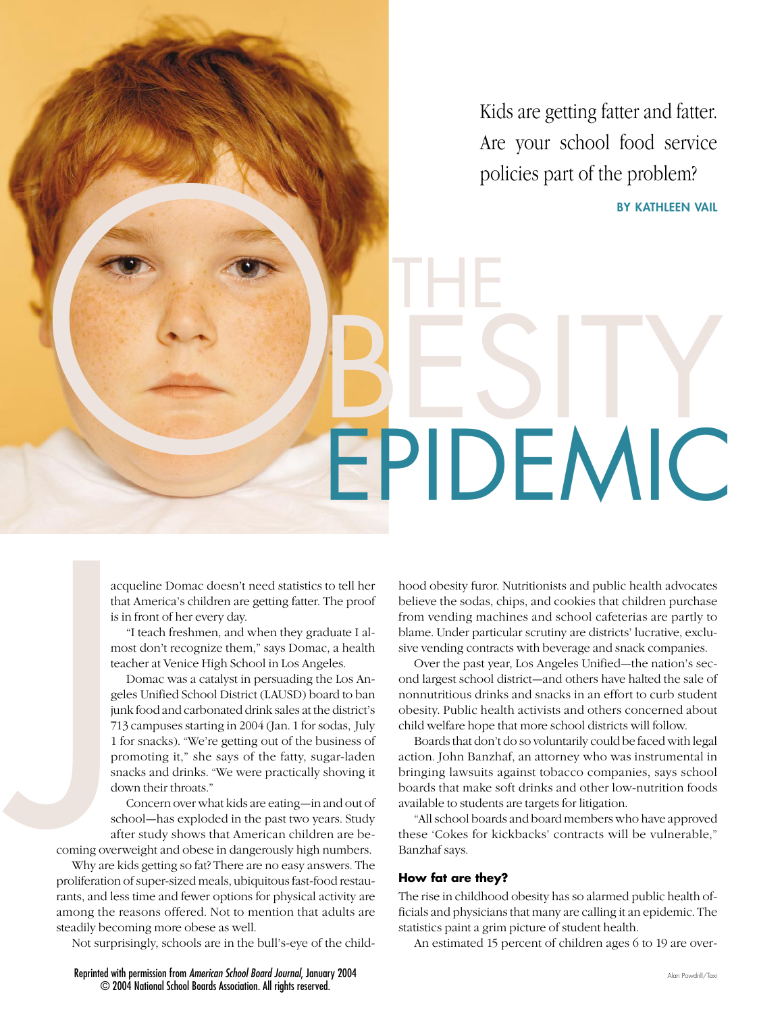Kids are getting fatter and fatter. Are your school food service policies part of the problem?

OR ONES ITY **BY KATHLEEN VAIL**

acqueline Domac doesn't need statistics to tell her that America's children are getting fatter. The proof is in front of her every day.

"I teach freshmen, and when they graduate I almost don't recognize them," says Domac, a health teacher at Venice High School in Los Angeles.

Domac was a catalyst in persuading the Los Angeles Unified School District (LAUSD) board to ban junk food and carbonated drink sales at the district's 713 campuses starting in 2004 (Jan. 1 for sodas, July 1 for snacks). "We're getting out of the business of promoting it," she says of the fatty, sugar-laden snacks and drinks. "We were practically shoving it down their throats." acce<br>thaa<br>is i<br>inc<br>tea<br>is ince<br>tea<br>tea<br>gel<br>jun<br>713<br>1 for<br>sna<br>do<br>schaft<br>coming overy<br>Why are ki

Concern over what kids are eating—in and out of school—has exploded in the past two years. Study after study shows that American children are be-

coming overweight and obese in dangerously high numbers.

Why are kids getting so fat? There are no easy answers. The proliferation of super-sized meals, ubiquitous fast-food restaurants, and less time and fewer options for physical activity are among the reasons offered. Not to mention that adults are steadily becoming more obese as well.

Not surprisingly, schools are in the bull's-eye of the child-

hood obesity furor. Nutritionists and public health advocates believe the sodas, chips, and cookies that children purchase from vending machines and school cafeterias are partly to blame. Under particular scrutiny are districts' lucrative, exclusive vending contracts with beverage and snack companies.

EPIDEMIC

Over the past year, Los Angeles Unified—the nation's second largest school district—and others have halted the sale of nonnutritious drinks and snacks in an effort to curb student obesity. Public health activists and others concerned about child welfare hope that more school districts will follow.

Boards that don't do so voluntarily could be faced with legal action. John Banzhaf, an attorney who was instrumental in bringing lawsuits against tobacco companies, says school boards that make soft drinks and other low-nutrition foods available to students are targets for litigation.

"All school boards and board members who have approved these 'Cokes for kickbacks' contracts will be vulnerable," Banzhaf says.

#### **How fat are they?**

THE

The rise in childhood obesity has so alarmed public health officials and physicians that many are calling it an epidemic. The statistics paint a grim picture of student health.

An estimated 15 percent of children ages 6 to 19 are over-

Reprinted with permission from *American School Board Journal*, January 2004 © 2004 National School Boards Association. All rights reserved.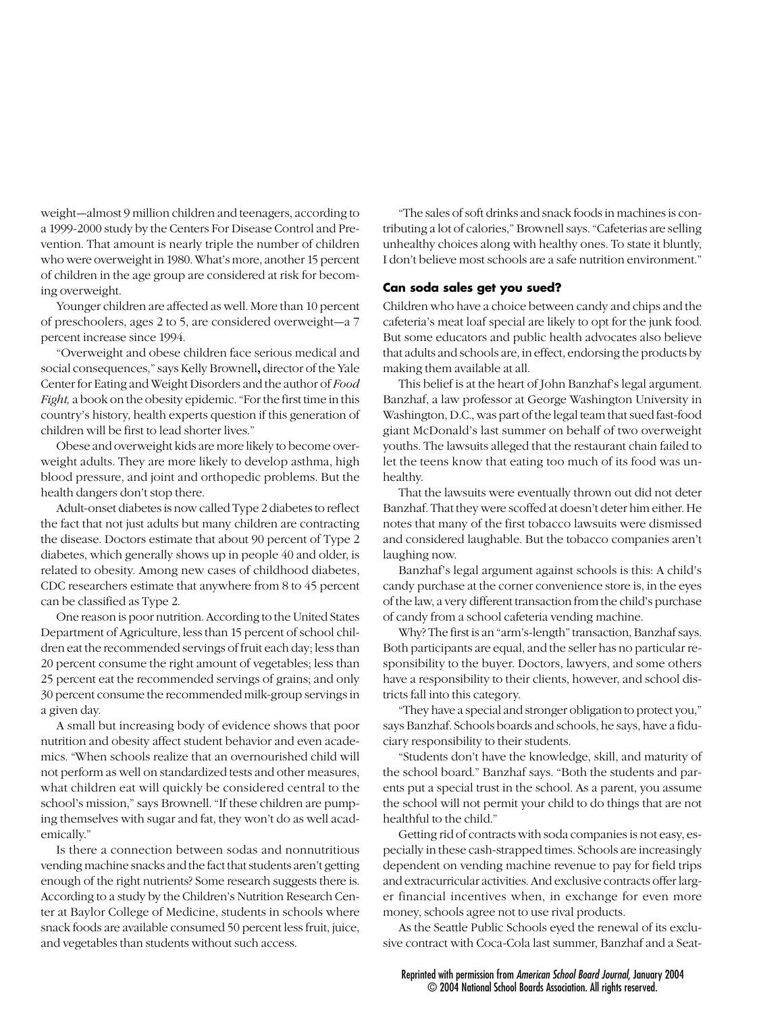weight—almost 9 million children and teenagers, according to a 1999-2000 study by the Centers For Disease Control and Prevention. That amount is nearly triple the number of children who were overweight in 1980. What's more, another 15 percent of children in the age group are considered at risk for becoming overweight.

Younger children are affected as well. More than 10 percent of preschoolers, ages 2 to 5, are considered overweight—a 7 percent increase since 1994.

"Overweight and obese children face serious medical and social consequences," says Kelly Brownell**,** director of the Yale Center for Eating and Weight Disorders and the author of *Food Fight,* a book on the obesity epidemic. "For the first time in this country's history, health experts question if this generation of children will be first to lead shorter lives."

Obese and overweight kids are more likely to become overweight adults. They are more likely to develop asthma, high blood pressure, and joint and orthopedic problems. But the health dangers don't stop there.

Adult-onset diabetes is now called Type 2 diabetes to reflect the fact that not just adults but many children are contracting the disease. Doctors estimate that about 90 percent of Type 2 diabetes, which generally shows up in people 40 and older, is related to obesity. Among new cases of childhood diabetes, CDC researchers estimate that anywhere from 8 to 45 percent can be classified as Type 2.

One reason is poor nutrition. According to the United States Department of Agriculture, less than 15 percent of school children eat the recommended servings of fruit each day; less than 20 percent consume the right amount of vegetables; less than 25 percent eat the recommended servings of grains; and only 30 percent consume the recommended milk-group servings in a given day.

A small but increasing body of evidence shows that poor nutrition and obesity affect student behavior and even academics. "When schools realize that an overnourished child will not perform as well on standardized tests and other measures, what children eat will quickly be considered central to the school's mission," says Brownell. "If these children are pumping themselves with sugar and fat, they won't do as well academically."

Is there a connection between sodas and nonnutritious vending machine snacks and the fact that students aren't getting enough of the right nutrients? Some research suggests there is. According to a study by the Children's Nutrition Research Center at Baylor College of Medicine, students in schools where snack foods are available consumed 50 percent less fruit, juice, and vegetables than students without such access.

"The sales of soft drinks and snack foods in machines is contributing a lot of calories," Brownell says. "Cafeterias are selling unhealthy choices along with healthy ones. To state it bluntly, I don't believe most schools are a safe nutrition environment."

#### **Can soda sales get you sued?**

Children who have a choice between candy and chips and the cafeteria's meat loaf special are likely to opt for the junk food. But some educators and public health advocates also believe that adults and schools are, in effect, endorsing the products by making them available at all.

This belief is at the heart of John Banzhaf's legal argument. Banzhaf, a law professor at George Washington University in Washington, D.C., was part of the legal team that sued fast-food giant McDonald's last summer on behalf of two overweight youths. The lawsuits alleged that the restaurant chain failed to let the teens know that eating too much of its food was unhealthy.

That the lawsuits were eventually thrown out did not deter Banzhaf. That they were scoffed at doesn't deter him either. He notes that many of the first tobacco lawsuits were dismissed and considered laughable. But the tobacco companies aren't laughing now.

Banzhaf's legal argument against schools is this: A child's candy purchase at the corner convenience store is, in the eyes of the law, a very different transaction from the child's purchase of candy from a school cafeteria vending machine.

Why? The first is an "arm's-length" transaction, Banzhaf says. Both participants are equal, and the seller has no particular responsibility to the buyer. Doctors, lawyers, and some others have a responsibility to their clients, however, and school districts fall into this category.

"They have a special and stronger obligation to protect you," says Banzhaf. Schools boards and schools, he says, have a fiduciary responsibility to their students.

"Students don't have the knowledge, skill, and maturity of the school board." Banzhaf says. "Both the students and parents put a special trust in the school. As a parent, you assume the school will not permit your child to do things that are not healthful to the child."

Getting rid of contracts with soda companies is not easy, especially in these cash-strapped times. Schools are increasingly dependent on vending machine revenue to pay for field trips and extracurricular activities. And exclusive contracts offer larger financial incentives when, in exchange for even more money, schools agree not to use rival products.

As the Seattle Public Schools eyed the renewal of its exclusive contract with Coca-Cola last summer, Banzhaf and a Seat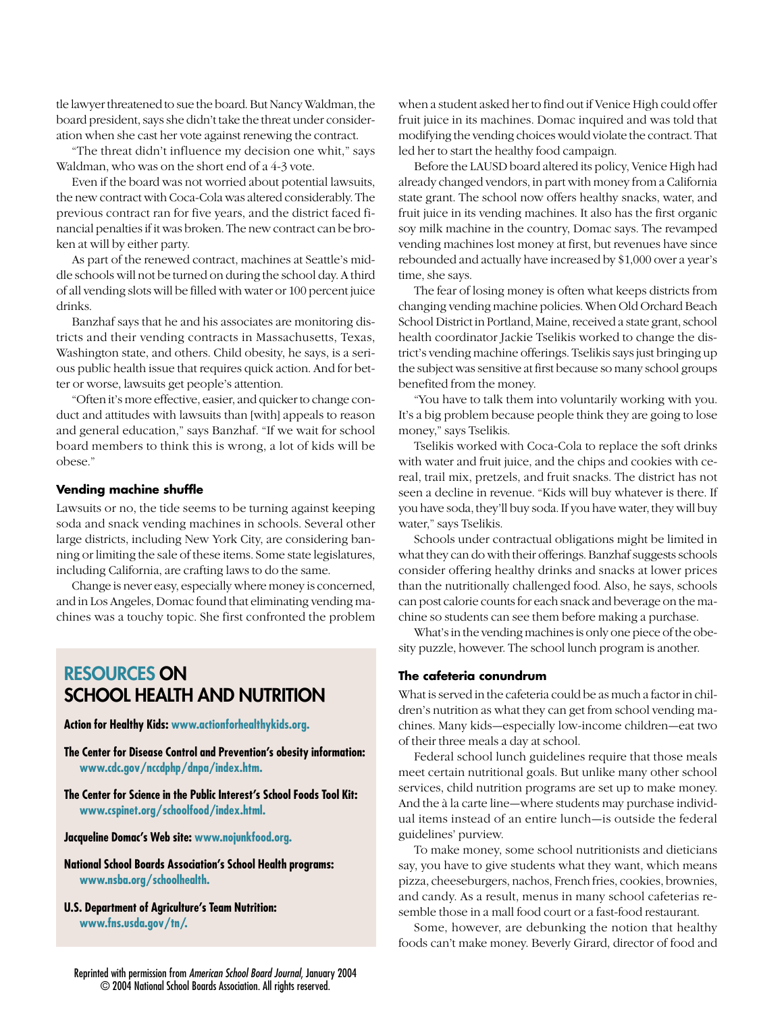tle lawyer threatened to sue the board. But Nancy Waldman, the board president, says she didn't take the threat under consideration when she cast her vote against renewing the contract.

"The threat didn't influence my decision one whit," says Waldman, who was on the short end of a 4-3 vote.

Even if the board was not worried about potential lawsuits, the new contract with Coca-Cola was altered considerably. The previous contract ran for five years, and the district faced financial penalties if it was broken. The new contract can be broken at will by either party.

As part of the renewed contract, machines at Seattle's middle schools will not be turned on during the school day. A third of all vending slots will be filled with water or 100 percent juice drinks.

Banzhaf says that he and his associates are monitoring districts and their vending contracts in Massachusetts, Texas, Washington state, and others. Child obesity, he says, is a serious public health issue that requires quick action. And for better or worse, lawsuits get people's attention.

"Often it's more effective, easier, and quicker to change conduct and attitudes with lawsuits than [with] appeals to reason and general education," says Banzhaf. "If we wait for school board members to think this is wrong, a lot of kids will be obese."

## **Vending machine shuffle**

Lawsuits or no, the tide seems to be turning against keeping soda and snack vending machines in schools. Several other large districts, including New York City, are considering banning or limiting the sale of these items. Some state legislatures, including California, are crafting laws to do the same.

Change is never easy, especially where money is concerned, and in Los Angeles, Domac found that eliminating vending machines was a touchy topic. She first confronted the problem

# **RESOURCES ON SCHOOL HEALTH AND NUTRITION**

**Action for Healthy Kids: www.actionforhealthykids.org.**

**The Center for Disease Control and Prevention's obesity information: www.cdc.gov/nccdphp/dnpa/index.htm.**

**The Center for Science in the Public Interest's School Foods Tool Kit: www.cspinet.org/schoolfood/index.html.**

**Jacqueline Domac's Web site: www.nojunkfood.org.**

**National School Boards Association's School Health programs: www.nsba.org/schoolhealth.**

**U.S. Department of Agriculture's Team Nutrition: www.fns.usda.gov/tn/.**

when a student asked her to find out if Venice High could offer fruit juice in its machines. Domac inquired and was told that modifying the vending choices would violate the contract. That led her to start the healthy food campaign.

Before the LAUSD board altered its policy, Venice High had already changed vendors, in part with money from a California state grant. The school now offers healthy snacks, water, and fruit juice in its vending machines. It also has the first organic soy milk machine in the country, Domac says. The revamped vending machines lost money at first, but revenues have since rebounded and actually have increased by \$1,000 over a year's time, she says.

The fear of losing money is often what keeps districts from changing vending machine policies. When Old Orchard Beach School District in Portland, Maine, received a state grant, school health coordinator Jackie Tselikis worked to change the district's vending machine offerings. Tselikis says just bringing up the subject was sensitive at first because so many school groups benefited from the money.

"You have to talk them into voluntarily working with you. It's a big problem because people think they are going to lose money," says Tselikis.

Tselikis worked with Coca-Cola to replace the soft drinks with water and fruit juice, and the chips and cookies with cereal, trail mix, pretzels, and fruit snacks. The district has not seen a decline in revenue. "Kids will buy whatever is there. If you have soda, they'll buy soda. If you have water, they will buy water," says Tselikis.

Schools under contractual obligations might be limited in what they can do with their offerings. Banzhaf suggests schools consider offering healthy drinks and snacks at lower prices than the nutritionally challenged food. Also, he says, schools can post calorie counts for each snack and beverage on the machine so students can see them before making a purchase.

What's in the vending machines is only one piece of the obesity puzzle, however. The school lunch program is another.

# **The cafeteria conundrum**

What is served in the cafeteria could be as much a factor in children's nutrition as what they can get from school vending machines. Many kids—especially low-income children—eat two of their three meals a day at school.

Federal school lunch guidelines require that those meals meet certain nutritional goals. But unlike many other school services, child nutrition programs are set up to make money. And the à la carte line—where students may purchase individual items instead of an entire lunch—is outside the federal guidelines' purview.

To make money, some school nutritionists and dieticians say, you have to give students what they want, which means pizza, cheeseburgers, nachos, French fries, cookies, brownies, and candy. As a result, menus in many school cafeterias resemble those in a mall food court or a fast-food restaurant.

Some, however, are debunking the notion that healthy foods can't make money. Beverly Girard, director of food and